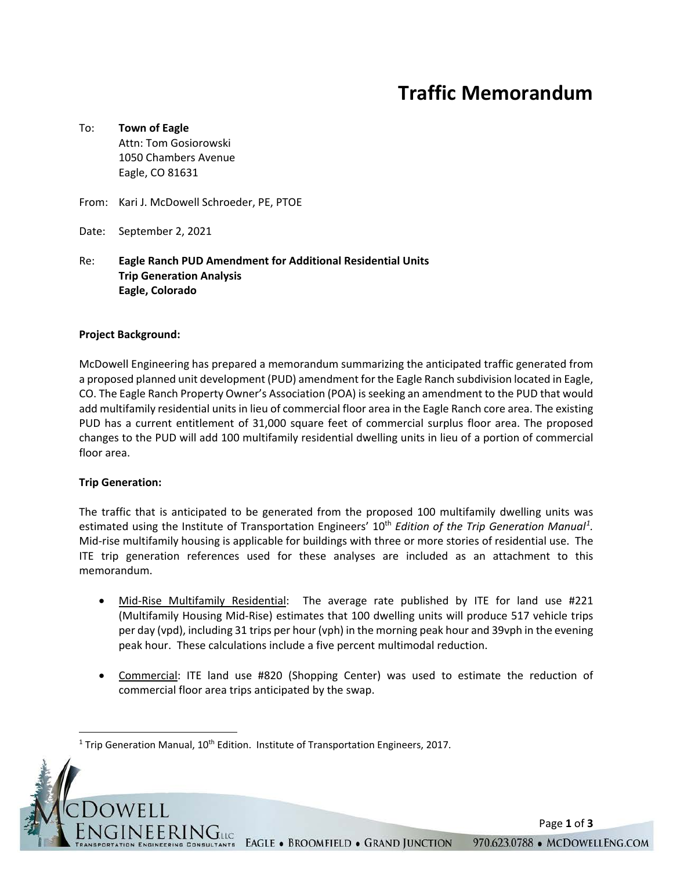# **Traffic Memorandum**

### To: **Town of Eagle** Attn: Tom Gosiorowski 1050 Chambers Avenue Eagle, CO 81631

- From: Kari J. McDowell Schroeder, PE, PTOE
- Date: September 2, 2021

#### Re: **Eagle Ranch PUD Amendment for Additional Residential Units Trip Generation Analysis Eagle, Colorado**

#### **Project Background:**

McDowell Engineering has prepared a memorandum summarizing the anticipated traffic generated from a proposed planned unit development (PUD) amendment for the Eagle Ranch subdivision located in Eagle, CO. The Eagle Ranch Property Owner's Association (POA) is seeking an amendment to the PUD that would add multifamily residential units in lieu of commercial floor area in the Eagle Ranch core area. The existing PUD has a current entitlement of 31,000 square feet of commercial surplus floor area. The proposed changes to the PUD will add 100 multifamily residential dwelling units in lieu of a portion of commercial floor area.

#### **Trip Generation:**

The traffic that is anticipated to be generated from the proposed 100 multifamily dwelling units was estimated using the Institute of Transportation Engineers' [1](#page-0-0)0<sup>th</sup> Edition of the Trip Generation Manual<sup>1</sup>. Mid-rise multifamily housing is applicable for buildings with three or more stories of residential use. The ITE trip generation references used for these analyses are included as an attachment to this memorandum.

- Mid-Rise Multifamily Residential: The average rate published by ITE for land use #221 (Multifamily Housing Mid-Rise) estimates that 100 dwelling units will produce 517 vehicle trips per day (vpd), including 31 trips per hour (vph) in the morning peak hour and 39vph in the evening peak hour. These calculations include a five percent multimodal reduction.
- Commercial: ITE land use #820 (Shopping Center) was used to estimate the reduction of commercial floor area trips anticipated by the swap.

Page **1** of **3**

<span id="page-0-0"></span><sup>&</sup>lt;sup>1</sup> Trip Generation Manual,  $10<sup>th</sup>$  Edition. Institute of Transportation Engineers, 2017.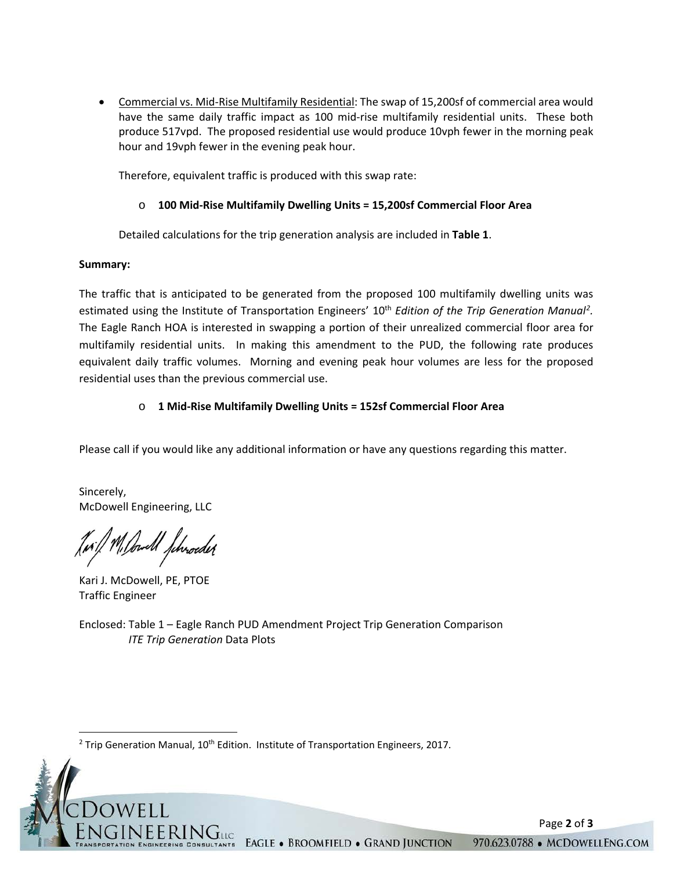• Commercial vs. Mid-Rise Multifamily Residential: The swap of 15,200sf of commercial area would have the same daily traffic impact as 100 mid-rise multifamily residential units. These both produce 517vpd. The proposed residential use would produce 10vph fewer in the morning peak hour and 19vph fewer in the evening peak hour.

Therefore, equivalent traffic is produced with this swap rate:

### o **100 Mid-Rise Multifamily Dwelling Units = 15,200sf Commercial Floor Area**

Detailed calculations for the trip generation analysis are included in **Table 1**.

#### **Summary:**

The traffic that is anticipated to be generated from the proposed 100 multifamily dwelling units was estimated using the Institute of Transportation Engineers' 10<sup>th</sup> Edition of the Trip Generation Manual<sup>[2](#page-1-0)</sup>. The Eagle Ranch HOA is interested in swapping a portion of their unrealized commercial floor area for multifamily residential units. In making this amendment to the PUD, the following rate produces equivalent daily traffic volumes. Morning and evening peak hour volumes are less for the proposed residential uses than the previous commercial use.

## o **1 Mid-Rise Multifamily Dwelling Units = 152sf Commercial Floor Area**

Please call if you would like any additional information or have any questions regarding this matter.

Sincerely, McDowell Engineering, LLC

1. Bould Jehroeder

Kari J. McDowell, PE, PTOE Traffic Engineer

Enclosed: Table 1 – Eagle Ranch PUD Amendment Project Trip Generation Comparison *ITE Trip Generation* Data Plots

<span id="page-1-0"></span> $2$  Trip Generation Manual,  $10<sup>th</sup>$  Edition. Institute of Transportation Engineers, 2017.

Page **2** of **3**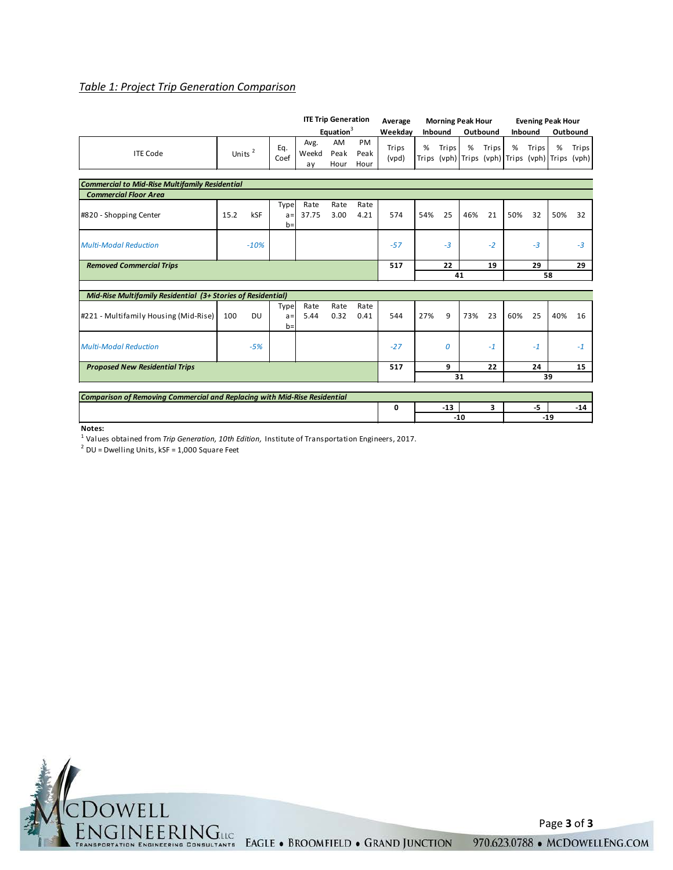#### *Table 1: Project Trip Generation Comparison*

|                                                                                  |                    |        | <b>ITE Trip Generation</b> |                     | Average               |                    |                | <b>Morning Peak Hour</b> |         |       | <b>Evening Peak Hour</b> |                                                |         |       |          |
|----------------------------------------------------------------------------------|--------------------|--------|----------------------------|---------------------|-----------------------|--------------------|----------------|--------------------------|---------|-------|--------------------------|------------------------------------------------|---------|-------|----------|
|                                                                                  |                    |        |                            |                     | Equation <sup>3</sup> |                    | Weekdav        |                          | Inbound |       | Outbound                 |                                                | Inbound |       | Outbound |
| <b>ITE Code</b>                                                                  | Units <sup>2</sup> |        | Eq.<br>Coef                | Avg.<br>Weekd<br>ay | AM<br>Peak<br>Hour    | PM<br>Peak<br>Hour | Trips<br>(vpd) | %<br>Trips               | Trips   | %     | Trips                    | %<br>(vph) Trips (vph) Trips (vph) Trips (vph) | Trips   | %     | Trips    |
|                                                                                  |                    |        |                            |                     |                       |                    |                |                          |         |       |                          |                                                |         |       |          |
| <b>Commercial to Mid-Rise Multifamily Residential</b>                            |                    |        |                            |                     |                       |                    |                |                          |         |       |                          |                                                |         |       |          |
| <b>Commercial Floor Area</b>                                                     |                    |        |                            |                     |                       |                    |                |                          |         |       |                          |                                                |         |       |          |
| #820 - Shopping Center                                                           | 15.2               | kSF    | Type<br>$a =$<br>$b =$     | Rate<br>37.75       | Rate<br>3.00          | Rate<br>4.21       | 574            | 54%                      | 25      | 46%   | 21                       | 50%                                            | 32      | 50%   | 32       |
| <b>Multi-Modal Reduction</b>                                                     |                    | $-10%$ |                            |                     |                       |                    | $-57$          |                          | $-3$    |       | $-2$                     |                                                | $-3$    |       | $-3$     |
| <b>Removed Commercial Trips</b>                                                  |                    |        |                            |                     |                       |                    | 517            |                          | 22      |       | 19                       |                                                | 29      |       | 29       |
|                                                                                  |                    |        |                            |                     |                       |                    |                |                          |         | 41    |                          |                                                |         | 58    |          |
|                                                                                  |                    |        |                            |                     |                       |                    |                |                          |         |       |                          |                                                |         |       |          |
| Mid-Rise Multifamily Residential (3+ Stories of Residential)                     |                    |        |                            |                     |                       |                    |                |                          |         |       |                          |                                                |         |       |          |
| #221 - Multifamily Housing (Mid-Rise)                                            | 100                | DU     | Type<br>$a =$<br>$b =$     | Rate<br>5.44        | Rate<br>0.32          | Rate<br>0.41       | 544            | 27%                      | 9       | 73%   | 23                       | 60%                                            | 25      | 40%   | 16       |
| <b>Multi-Modal Reduction</b>                                                     |                    | $-5%$  |                            |                     |                       |                    | $-27$          |                          | 0       |       | $-1$                     |                                                | $-1$    |       | $-1$     |
| <b>Proposed New Residential Trips</b>                                            |                    |        |                            |                     |                       |                    | 517            |                          | 9       |       | 22                       |                                                | 24      |       | 15       |
|                                                                                  |                    |        |                            |                     |                       |                    |                |                          |         | 31    |                          |                                                |         | 39    |          |
| <b>Comparison of Removing Commercial and Replacing with Mid-Rise Residential</b> |                    |        |                            |                     |                       |                    |                |                          |         |       |                          |                                                |         |       |          |
|                                                                                  |                    |        |                            |                     |                       |                    | 0              |                          | $-13$   |       | 3                        |                                                | -5      |       | $-14$    |
|                                                                                  |                    |        |                            |                     |                       |                    |                |                          |         | $-10$ |                          |                                                |         | $-19$ |          |

**Notes:**

1 Values obtained from *Trip Generation, 10th Edition,* Institute of Transportation Engineers, 2017.

 $2$  DU = Dwelling Units, kSF = 1,000 Square Feet



Page **3** of **3**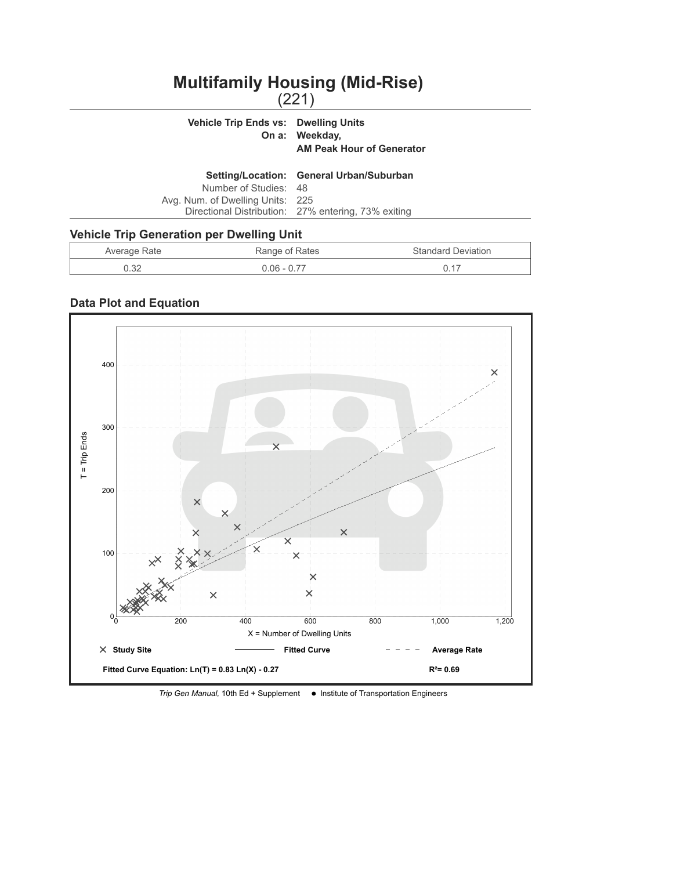# **Multifamily Housing (Mid-Rise)**

| <b>Vehicle Trip Ends vs: Dwelling Units</b>      | On a: Weekday,<br><b>AM Peak Hour of Generator</b>  |
|--------------------------------------------------|-----------------------------------------------------|
|                                                  | Setting/Location: General Urban/Suburban            |
| Number of Studies: 48                            |                                                     |
| Avg. Num. of Dwelling Units: 225                 |                                                     |
|                                                  | Directional Distribution: 27% entering, 73% exiting |
| <b>Vehicle Trip Generation per Dwelling Unit</b> |                                                     |

## Average Rate **Range of Rates** Range of Rates Standard Deviation 0.32 0.06 - 0.77 0.17



*Trip Gen Manual,* 10th Ed + Supplement  $\bullet$  Institute of Transportation Engineers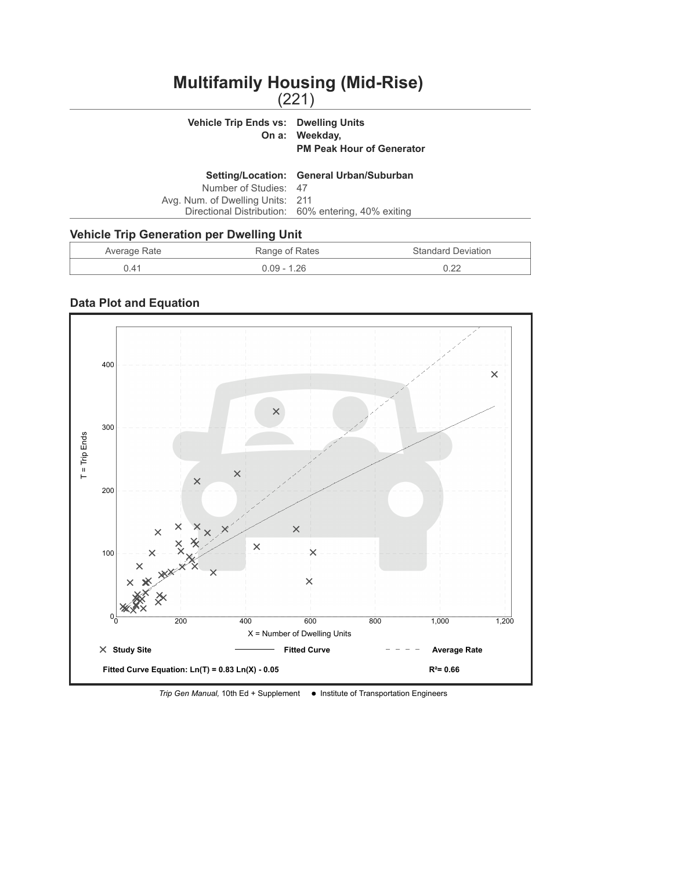# **Multifamily Housing (Mid-Rise)**

| <b>Vehicle Trip Ends vs: Dwelling Units</b> | On a: Weekday,<br><b>PM Peak Hour of Generator</b>  |
|---------------------------------------------|-----------------------------------------------------|
|                                             | Setting/Location: General Urban/Suburban            |
| Number of Studies: 47                       |                                                     |
| Avg. Num. of Dwelling Units: 211            |                                                     |
|                                             | Directional Distribution: 60% entering, 40% exiting |
| ahicla Trin Canaration nar Dwalling Llnit   |                                                     |

### **Vehicle Trip Generation per Dwelling Unit**

| Average Rate | Range of Rates | <b>Standard Deviation</b> |
|--------------|----------------|---------------------------|
|              | 0.09 - 1.26    | רר ר                      |



*Trip Gen Manual,* 10th Ed + Supplement  $\bullet$  Institute of Transportation Engineers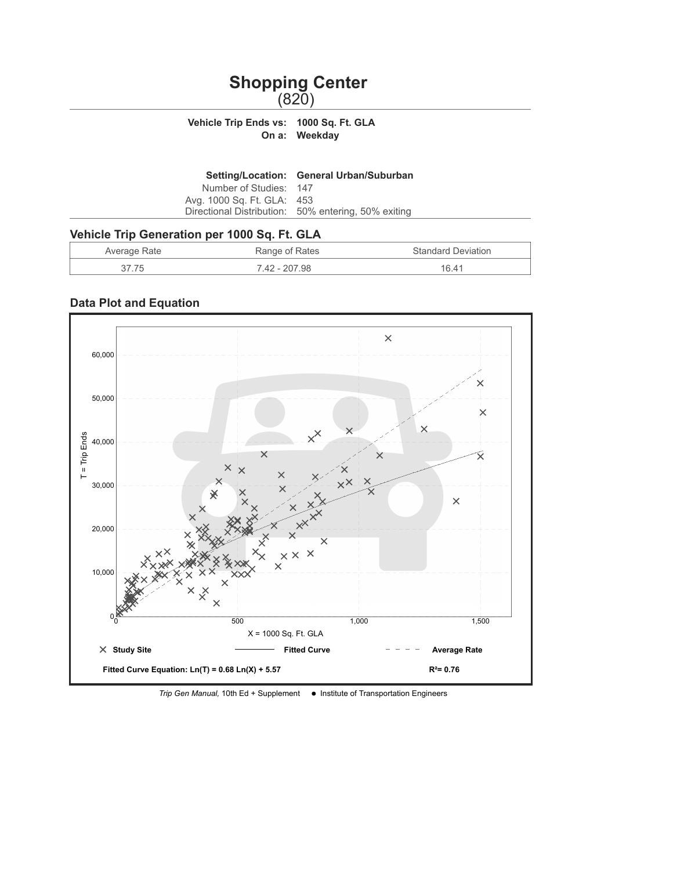# **Shopping Center** (820)

#### **Vehicle Trip Ends vs: 1000 Sq. Ft. GLA On a: Weekday**

|                            | Setting/Location: General Urban/Suburban            |
|----------------------------|-----------------------------------------------------|
| Number of Studies: 147     |                                                     |
| Avg. 1000 Sq. Ft. GLA: 453 |                                                     |
|                            | Directional Distribution: 50% entering, 50% exiting |
|                            |                                                     |

## **Vehicle Trip Generation per 1000 Sq. Ft. GLA**

| Average Rate | Range of Rates | <b>Standard Deviation</b> |
|--------------|----------------|---------------------------|
|              | 7.42 - 207.98  | 16 41                     |



*Trip Gen Manual,* 10th Ed + Supplement  $\bullet$  Institute of Transportation Engineers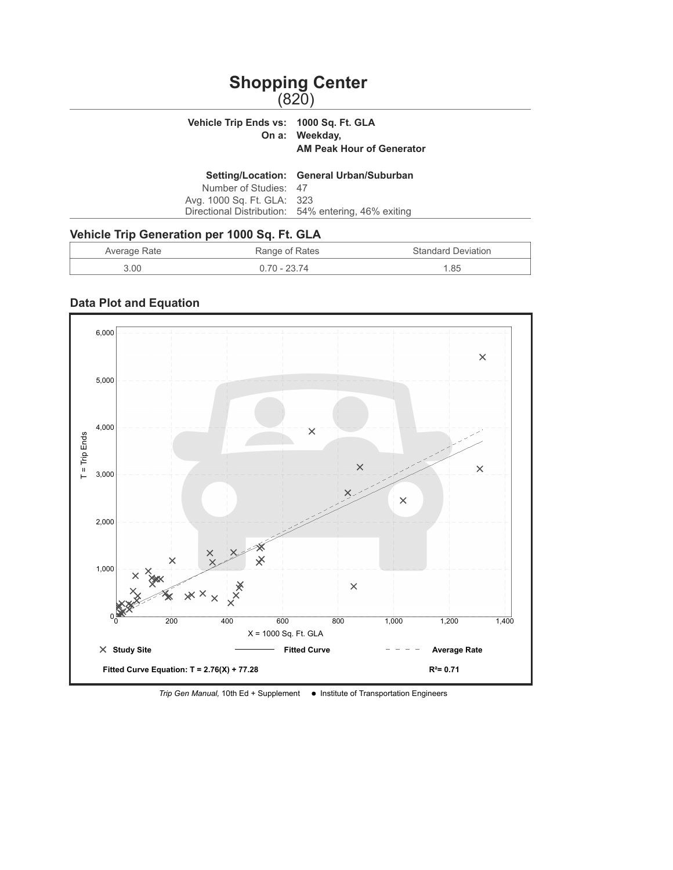# **Shopping Center** (820)

# **Vehicle Trip Ends vs: 1000 Sq. Ft. GLA On a: Weekday, AM Peak Hour of Generator Setting/Location: General Urban/Suburban**

| Number of Studies: 47      |                                                     |
|----------------------------|-----------------------------------------------------|
| Avg. 1000 Sq. Ft. GLA: 323 |                                                     |
|                            | Directional Distribution: 54% entering, 46% exiting |

## **Vehicle Trip Generation per 1000 Sq. Ft. GLA**

| Average Rate | Range of Rates | <b>Standard Deviation</b> |
|--------------|----------------|---------------------------|
| 3.00         | .) 70 - 23 74  | 1.85                      |



*Trip Gen Manual,* 10th Ed + Supplement  $\bullet$  Institute of Transportation Engineers